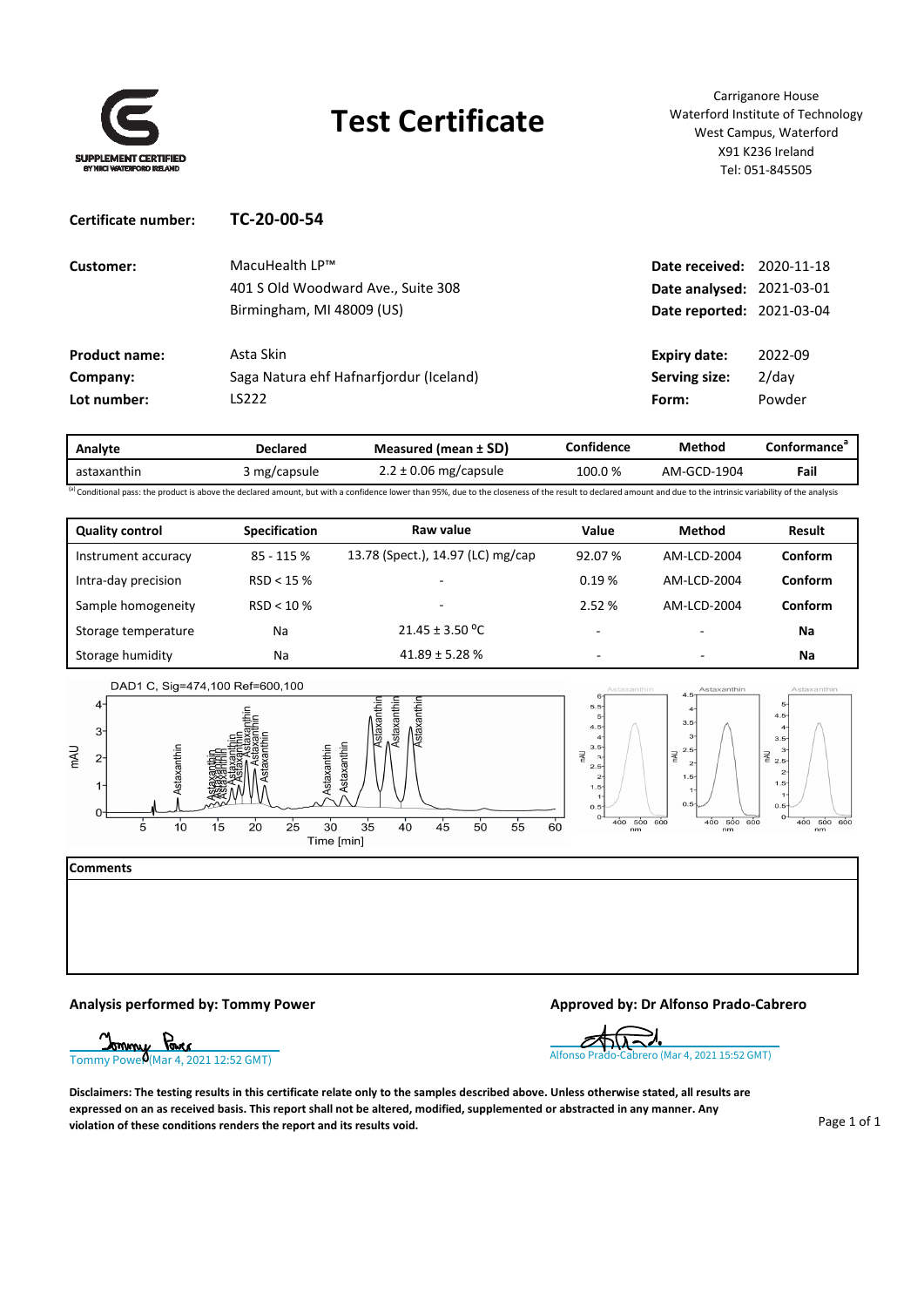

# **Test Certificate**

Carriganore House Waterford Institute of Technology West Campus, Waterford X91 K236 Ireland Tel: 051‐845505

| Certificate number:  | TC-20-00-54                             |                           |            |
|----------------------|-----------------------------------------|---------------------------|------------|
| Customer:            | MacuHealth LP™                          | Date received:            | 2020-11-18 |
|                      | 401 S Old Woodward Ave., Suite 308      | Date analysed: 2021-03-01 |            |
|                      | Birmingham, MI 48009 (US)               | Date reported: 2021-03-04 |            |
| <b>Product name:</b> | Asta Skin                               | <b>Expiry date:</b>       | 2022-09    |
| Company:             | Saga Natura ehf Hafnarfjordur (Iceland) | Serving size:             | $2$ /day   |
| Lot number:          | LS222                                   | Form:                     | Powder     |

| Analyte               | <b>Declared</b> | <b>Measured (mean ± SD)</b> | Confidence | Method      | Contormance |
|-----------------------|-----------------|-----------------------------|------------|-------------|-------------|
| astaxanthin<br>$\sim$ | 3 mg/capsule    | $2.2 \pm 0.06$ mg/capsule   | 100.0%     | AM-GCD-1904 | Fail        |

(a) Conditional pass: the product is above the declared amount, but with a confidence lower than 95%, due to the closeness of the result to declared amount and due to the intrinsic variability of the analysis

| <b>Quality control</b> | <b>Specification</b> | Raw value                         | Value  | <b>Method</b> | <b>Result</b> |
|------------------------|----------------------|-----------------------------------|--------|---------------|---------------|
| Instrument accuracy    | 85 - 115 %           | 13.78 (Spect.), 14.97 (LC) mg/cap | 92.07% | AM-LCD-2004   | Conform       |
| Intra-day precision    | RSD < 15%            |                                   | 0.19%  | AM-LCD-2004   | Conform       |
| Sample homogeneity     | $RSD < 10 \%$        |                                   | 2.52 % | AM-LCD-2004   | Conform       |
| Storage temperature    | Na                   | $21.45 \pm 3.50$ °C               | -      |               | Na            |
| Storage humidity       | Na                   | $41.89 \pm 5.28$ %                | ۰      |               | Na            |





**Comments**



### **Analysis performed by: Tommy Power Approved by: Dr Alfonso Prado‐Cabrero**



Disclaimers: The testing results in this certificate relate only to the samples described above. Unless otherwise stated, all results are expressed on an as received basis. This report shall not be altered, modified, supplemented or abstracted in any manner. Any **violation of these conditions renders the report and its results void.**

Page 1 of 1